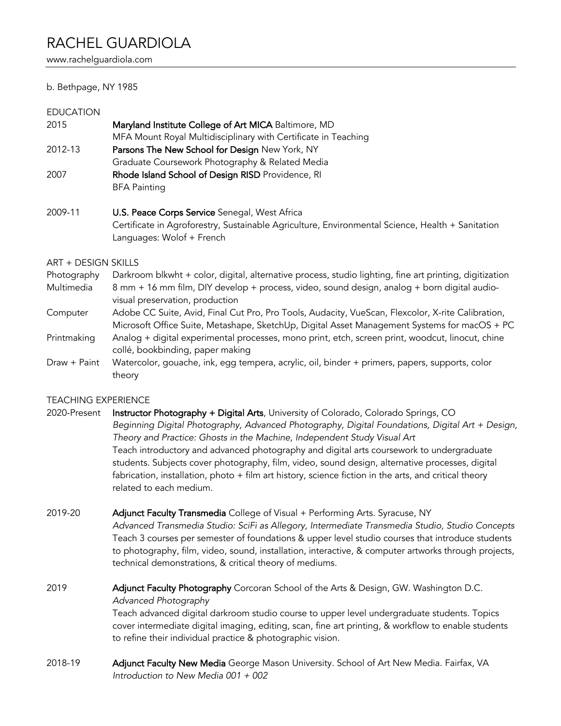www.rachelguardiola.com

## b. Bethpage, NY 1985

#### EDUCATION

| Maryland Institute College of Art MICA Baltimore, MD                     |
|--------------------------------------------------------------------------|
| MFA Mount Royal Multidisciplinary with Certificate in Teaching           |
| Parsons The New School for Design New York, NY                           |
| Graduate Coursework Photography & Related Media                          |
| Rhode Island School of Design RISD Providence, RI<br><b>BFA Painting</b> |
|                                                                          |

2009-11 **U.S. Peace Corps Service** Senegal, West Africa Certificate in Agroforestry, Sustainable Agriculture, Environmental Science, Health + Sanitation Languages: Wolof + French

### ART + DESIGN SKILLS

Photography Darkroom blkwht + color, digital, alternative process, studio lighting, fine art printing, digitization Multimedia 8 mm + 16 mm film, DIY develop + process, video, sound design, analog + born digital audiovisual preservation, production

- Computer Adobe CC Suite, Avid, Final Cut Pro, Pro Tools, Audacity, VueScan, Flexcolor, X-rite Calibration, Microsoft Office Suite, Metashape, SketchUp, Digital Asset Management Systems for macOS + PC
- Printmaking Analog + digital experimental processes, mono print, etch, screen print, woodcut, linocut, chine collé, bookbinding, paper making
- Draw + Paint Watercolor, gouache, ink, egg tempera, acrylic, oil, binder + primers, papers, supports, color theory

## TEACHING EXPERIENCE

- 2020-Present Instructor Photography + Digital Arts, University of Colorado, Colorado Springs, CO *Beginning Digital Photography, Advanced Photography, Digital Foundations, Digital Art + Design, Theory and Practice: Ghosts in the Machine, Independent Study Visual Art* Teach introductory and advanced photography and digital arts coursework to undergraduate students. Subjects cover photography, film, video, sound design, alternative processes, digital fabrication, installation, photo + film art history, science fiction in the arts, and critical theory related to each medium.
- 2019-20 **Adjunct Faculty Transmedia** College of Visual + Performing Arts. Syracuse, NY

*Advanced Transmedia Studio: SciFi as Allegory, Intermediate Transmedia Studio, Studio Concepts* Teach 3 courses per semester of foundations & upper level studio courses that introduce students to photography, film, video, sound, installation, interactive, & computer artworks through projects, technical demonstrations, & critical theory of mediums.

- 2019 **Adjunct Faculty Photography** Corcoran School of the Arts & Design, GW. Washington D.C. *Advanced Photography* Teach advanced digital darkroom studio course to upper level undergraduate students. Topics cover intermediate digital imaging, editing, scan, fine art printing, & workflow to enable students to refine their individual practice & photographic vision.
- 2018-19 **Adjunct Faculty New Media** George Mason University. School of Art New Media. Fairfax, VA *Introduction to New Media 001 + 002*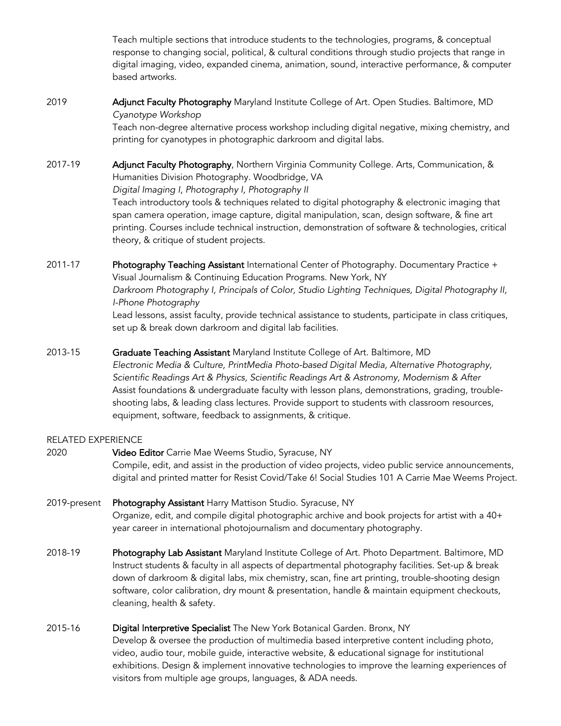Teach multiple sections that introduce students to the technologies, programs, & conceptual response to changing social, political, & cultural conditions through studio projects that range in digital imaging, video, expanded cinema, animation, sound, interactive performance, & computer based artworks.

2019 **Adjunct Faculty Photography** Maryland Institute College of Art. Open Studies. Baltimore, MD *Cyanotype Workshop*

Teach non-degree alternative process workshop including digital negative, mixing chemistry, and printing for cyanotypes in photographic darkroom and digital labs.

- 2017-19 **Adjunct Faculty Photography**, Northern Virginia Community College. Arts, Communication, & Humanities Division Photography. Woodbridge, VA *Digital Imaging I*, *Photography I, Photography II* Teach introductory tools & techniques related to digital photography & electronic imaging that span camera operation, image capture, digital manipulation, scan, design software, & fine art printing. Courses include technical instruction, demonstration of software & technologies, critical theory, & critique of student projects.
- 2011-17 Photography Teaching Assistant International Center of Photography. Documentary Practice + Visual Journalism & Continuing Education Programs. New York, NY *Darkroom Photography I, Principals of Color, Studio Lighting Techniques, Digital Photography II, I-Phone Photography* Lead lessons, assist faculty, provide technical assistance to students, participate in class critiques, set up & break down darkroom and digital lab facilities.
- 2013-15 **Graduate Teaching Assistant** Maryland Institute College of Art. Baltimore, MD *Electronic Media & Culture, PrintMedia Photo-based Digital Media, Alternative Photography, Scientific Readings Art & Physics, Scientific Readings Art & Astronomy, Modernism & After* Assist foundations & undergraduate faculty with lesson plans, demonstrations, grading, troubleshooting labs, & leading class lectures. Provide support to students with classroom resources, equipment, software, feedback to assignments, & critique.

## RELATED EXPERIENCE

- 2020 Video Editor Carrie Mae Weems Studio, Syracuse, NY Compile, edit, and assist in the production of video projects, video public service announcements, digital and printed matter for Resist Covid/Take 6! Social Studies 101 A Carrie Mae Weems Project.
- 2019-present Photography Assistant Harry Mattison Studio. Syracuse, NY Organize, edit, and compile digital photographic archive and book projects for artist with a 40+ year career in international photojournalism and documentary photography.
- 2018-19 **Photography Lab Assistant** Maryland Institute College of Art. Photo Department. Baltimore, MD Instruct students & faculty in all aspects of departmental photography facilities. Set-up & break down of darkroom & digital labs, mix chemistry, scan, fine art printing, trouble-shooting design software, color calibration, dry mount & presentation, handle & maintain equipment checkouts, cleaning, health & safety.
- 2015-16 Digital Interpretive Specialist The New York Botanical Garden. Bronx, NY Develop & oversee the production of multimedia based interpretive content including photo, video, audio tour, mobile guide, interactive website, & educational signage for institutional exhibitions. Design & implement innovative technologies to improve the learning experiences of visitors from multiple age groups, languages, & ADA needs.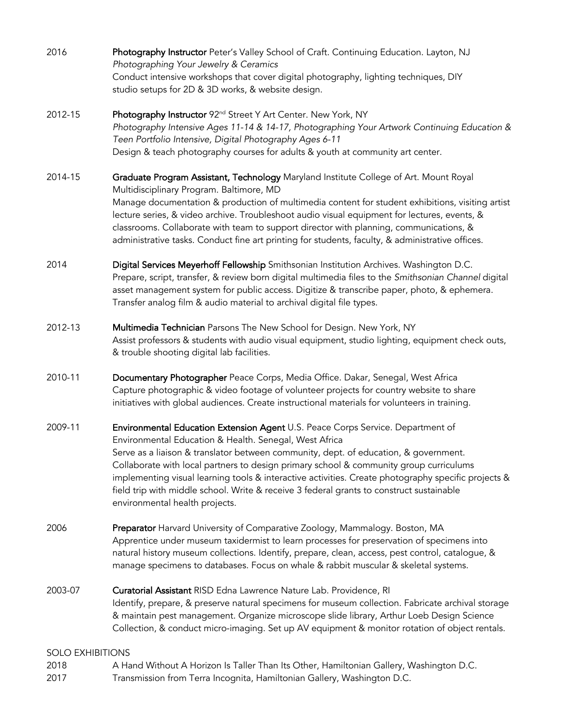- 2016 Photography Instructor Peter's Valley School of Craft. Continuing Education. Layton, NJ *Photographing Your Jewelry & Ceramics*  Conduct intensive workshops that cover digital photography, lighting techniques, DIY studio setups for 2D & 3D works, & website design.
- 2012-15 Photography Instructor 92<sup>nd</sup> Street Y Art Center. New York, NY *Photography Intensive Ages 11-14 & 14-17, Photographing Your Artwork Continuing Education & Teen Portfolio Intensive, Digital Photography Ages 6-11* Design & teach photography courses for adults & youth at community art center.
- 2014-15 **Graduate Program Assistant, Technology** Maryland Institute College of Art. Mount Royal Multidisciplinary Program. Baltimore, MD Manage documentation & production of multimedia content for student exhibitions, visiting artist lecture series, & video archive. Troubleshoot audio visual equipment for lectures, events, & classrooms. Collaborate with team to support director with planning, communications, & administrative tasks. Conduct fine art printing for students, faculty, & administrative offices.
- 2014 **Digital Services Meyerhoff Fellowship** Smithsonian Institution Archives. Washington D.C. Prepare, script, transfer, & review born digital multimedia files to the *Smithsonian Channel* digital asset management system for public access. Digitize & transcribe paper, photo, & ephemera. Transfer analog film & audio material to archival digital file types.
- 2012-13 Multimedia Technician Parsons The New School for Design. New York, NY Assist professors & students with audio visual equipment, studio lighting, equipment check outs, & trouble shooting digital lab facilities.
- 2010-11 Documentary Photographer Peace Corps, Media Office. Dakar, Senegal, West Africa Capture photographic & video footage of volunteer projects for country website to share initiatives with global audiences. Create instructional materials for volunteers in training.
- 2009-11 **Environmental Education Extension Agent** U.S. Peace Corps Service. Department of Environmental Education & Health. Senegal, West Africa Serve as a liaison & translator between community, dept. of education, & government. Collaborate with local partners to design primary school & community group curriculums implementing visual learning tools & interactive activities. Create photography specific projects & field trip with middle school. Write & receive 3 federal grants to construct sustainable environmental health projects.
- 2006 **Preparator** Harvard University of Comparative Zoology, Mammalogy. Boston, MA Apprentice under museum taxidermist to learn processes for preservation of specimens into natural history museum collections. Identify, prepare, clean, access, pest control, catalogue, & manage specimens to databases. Focus on whale & rabbit muscular & skeletal systems.
- 2003-07 **Curatorial Assistant** RISD Edna Lawrence Nature Lab. Providence, RI Identify, prepare, & preserve natural specimens for museum collection. Fabricate archival storage & maintain pest management. Organize microscope slide library, Arthur Loeb Design Science Collection, & conduct micro-imaging. Set up AV equipment & monitor rotation of object rentals.

# SOLO EXHIBITIONS

- 2018 A Hand Without A Horizon Is Taller Than Its Other, Hamiltonian Gallery, Washington D.C.
- 2017 Transmission from Terra Incognita, Hamiltonian Gallery, Washington D.C.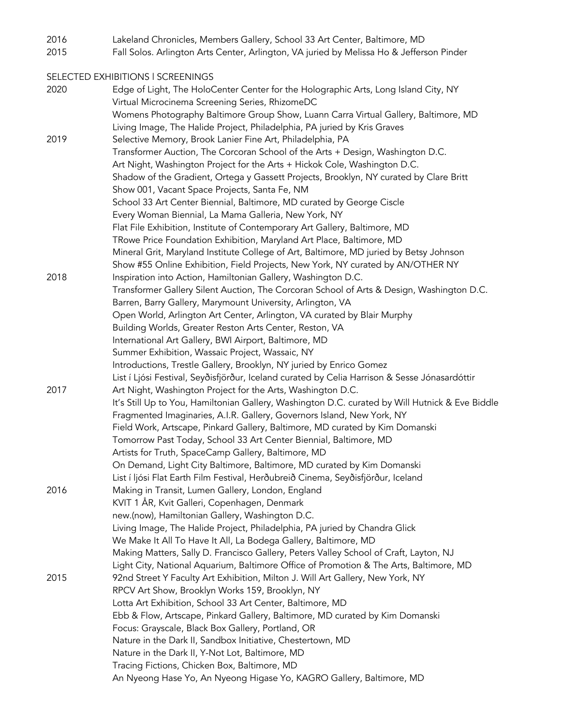2016 Lakeland Chronicles, Members Gallery, School 33 Art Center, Baltimore, MD

2015 Fall Solos. Arlington Arts Center, Arlington, VA juried by Melissa Ho & Jefferson Pinder

SELECTED EXHIBITIONS l SCREENINGS

2020 Edge of Light, The HoloCenter Center for the Holographic Arts, Long Island City, NY Virtual Microcinema Screening Series, RhizomeDC Womens Photography Baltimore Group Show, Luann Carra Virtual Gallery, Baltimore, MD Living Image, The Halide Project, Philadelphia, PA juried by Kris Graves 2019 Selective Memory, Brook Lanier Fine Art, Philadelphia, PA Transformer Auction, The Corcoran School of the Arts + Design, Washington D.C. Art Night, Washington Project for the Arts + Hickok Cole, Washington D.C. Shadow of the Gradient, Ortega y Gassett Projects, Brooklyn, NY curated by Clare Britt Show 001, Vacant Space Projects, Santa Fe, NM School 33 Art Center Biennial, Baltimore, MD curated by George Ciscle Every Woman Biennial, La Mama Galleria, New York, NY Flat File Exhibition, Institute of Contemporary Art Gallery, Baltimore, MD TRowe Price Foundation Exhibition, Maryland Art Place, Baltimore, MD Mineral Grit, Maryland Institute College of Art, Baltimore, MD juried by Betsy Johnson Show #55 Online Exhibition, Field Projects, New York, NY curated by AN/OTHER NY 2018 Inspiration into Action, Hamiltonian Gallery, Washington D.C. Transformer Gallery Silent Auction, The Corcoran School of Arts & Design, Washington D.C. Barren, Barry Gallery, Marymount University, Arlington, VA Open World, Arlington Art Center, Arlington, VA curated by Blair Murphy Building Worlds, Greater Reston Arts Center, Reston, VA International Art Gallery, BWI Airport, Baltimore, MD Summer Exhibition, Wassaic Project, Wassaic, NY Introductions, Trestle Gallery, Brooklyn, NY juried by Enrico Gomez List í Ljósi Festival, Seyðisfjörður, Iceland curated by Celia Harrison & Sesse Jónasardóttir 2017 Art Night, Washington Project for the Arts, Washington D.C. It's Still Up to You, Hamiltonian Gallery, Washington D.C. curated by Will Hutnick & Eve Biddle Fragmented Imaginaries, A.I.R. Gallery, Governors Island, New York, NY Field Work, Artscape, Pinkard Gallery, Baltimore, MD curated by Kim Domanski Tomorrow Past Today, School 33 Art Center Biennial, Baltimore, MD Artists for Truth, SpaceCamp Gallery, Baltimore, MD On Demand, Light City Baltimore, Baltimore, MD curated by Kim Domanski List í ljósi Flat Earth Film Festival, Herðubreið Cinema, Seyðisfjörður, Iceland 2016 Making in Transit, Lumen Gallery, London, England KVIT 1 ÅR, Kvit Galleri, Copenhagen, Denmark new.(now), Hamiltonian Gallery, Washington D.C. Living Image, The Halide Project, Philadelphia, PA juried by Chandra Glick We Make It All To Have It All, La Bodega Gallery, Baltimore, MD Making Matters, Sally D. Francisco Gallery, Peters Valley School of Craft, Layton, NJ Light City, National Aquarium, Baltimore Office of Promotion & The Arts, Baltimore, MD 2015 92nd Street Y Faculty Art Exhibition, Milton J. Will Art Gallery, New York, NY RPCV Art Show, Brooklyn Works 159, Brooklyn, NY Lotta Art Exhibition, School 33 Art Center, Baltimore, MD Ebb & Flow, Artscape, Pinkard Gallery, Baltimore, MD curated by Kim Domanski Focus: Grayscale, Black Box Gallery, Portland, OR Nature in the Dark II, Sandbox Initiative, Chestertown, MD Nature in the Dark II, Y-Not Lot, Baltimore, MD Tracing Fictions, Chicken Box, Baltimore, MD An Nyeong Hase Yo, An Nyeong Higase Yo, KAGRO Gallery, Baltimore, MD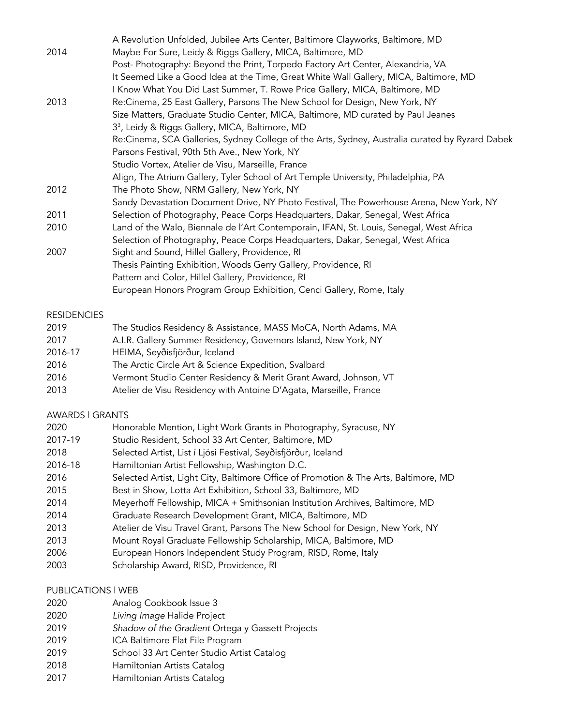| A Revolution Unfolded, Jubilee Arts Center, Baltimore Clayworks, Baltimore, MD                  |
|-------------------------------------------------------------------------------------------------|
| Maybe For Sure, Leidy & Riggs Gallery, MICA, Baltimore, MD                                      |
| Post-Photography: Beyond the Print, Torpedo Factory Art Center, Alexandria, VA                  |
| It Seemed Like a Good Idea at the Time, Great White Wall Gallery, MICA, Baltimore, MD           |
| I Know What You Did Last Summer, T. Rowe Price Gallery, MICA, Baltimore, MD                     |
| Re:Cinema, 25 East Gallery, Parsons The New School for Design, New York, NY                     |
| Size Matters, Graduate Studio Center, MICA, Baltimore, MD curated by Paul Jeanes                |
| 3 <sup>3</sup> , Leidy & Riggs Gallery, MICA, Baltimore, MD                                     |
| Re:Cinema, SCA Galleries, Sydney College of the Arts, Sydney, Australia curated by Ryzard Dabek |
| Parsons Festival, 90th 5th Ave., New York, NY                                                   |
| Studio Vortex, Atelier de Visu, Marseille, France                                               |
| Align, The Atrium Gallery, Tyler School of Art Temple University, Philadelphia, PA              |
| The Photo Show, NRM Gallery, New York, NY                                                       |
| Sandy Devastation Document Drive, NY Photo Festival, The Powerhouse Arena, New York, NY         |
| Selection of Photography, Peace Corps Headquarters, Dakar, Senegal, West Africa                 |
| Land of the Walo, Biennale de l'Art Contemporain, IFAN, St. Louis, Senegal, West Africa         |
| Selection of Photography, Peace Corps Headquarters, Dakar, Senegal, West Africa                 |
| Sight and Sound, Hillel Gallery, Providence, RI                                                 |
| Thesis Painting Exhibition, Woods Gerry Gallery, Providence, RI                                 |
| Pattern and Color, Hillel Gallery, Providence, RI                                               |
| European Honors Program Group Exhibition, Cenci Gallery, Rome, Italy                            |
|                                                                                                 |

## **RESIDENCIES**

| 2019<br>The Studios Residency & Assistance, MASS MoCA, North Adams, MA |
|------------------------------------------------------------------------|
|                                                                        |

- 2017 A.I.R. Gallery Summer Residency, Governors Island, New York, NY
- 2016-17 HEIMA, Seyðisfjörður, Iceland
- 2016 The Arctic Circle Art & Science Expedition, Svalbard
- 2016 Vermont Studio Center Residency & Merit Grant Award, Johnson, VT
- 2013 Atelier de Visu Residency with Antoine D'Agata, Marseille, France

## AWARDS l GRANTS

- 2020 Honorable Mention, Light Work Grants in Photography, Syracuse, NY
- 2017-19 Studio Resident, School 33 Art Center, Baltimore, MD
- 2018 Selected Artist, List í Ljósi Festival, Seyðisfjörður, Iceland
- 2016-18 Hamiltonian Artist Fellowship, Washington D.C.
- 2016 Selected Artist, Light City, Baltimore Office of Promotion & The Arts, Baltimore, MD
- 2015 Best in Show, Lotta Art Exhibition, School 33, Baltimore, MD
- 2014 Meyerhoff Fellowship, MICA + Smithsonian Institution Archives, Baltimore, MD
- 2014 Graduate Research Development Grant, MICA, Baltimore, MD
- 2013 Atelier de Visu Travel Grant, Parsons The New School for Design, New York, NY
- 2013 Mount Royal Graduate Fellowship Scholarship, MICA, Baltimore, MD
- 2006 European Honors Independent Study Program, RISD, Rome, Italy
- 2003 Scholarship Award, RISD, Providence, RI

# PUBLICATIONS l WEB

- 2020 Analog Cookbook Issue 3
- 2020 *Living Image* Halide Project
- 2019 *Shadow of the Gradient* Ortega y Gassett Projects
- 2019 ICA Baltimore Flat File Program
- 2019 School 33 Art Center Studio Artist Catalog
- 2018 Hamiltonian Artists Catalog
- 2017 Hamiltonian Artists Catalog